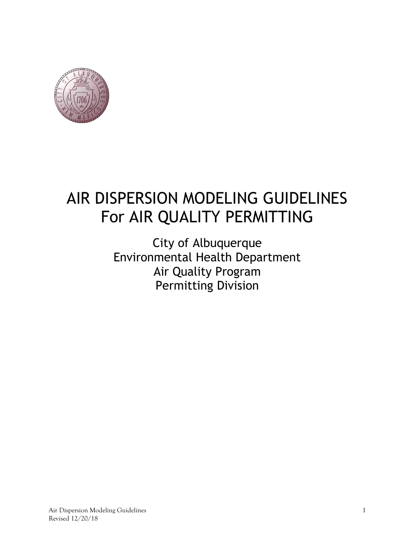

# AIR DISPERSION MODELING GUIDELINES For AIR QUALITY PERMITTING

# City of Albuquerque Environmental Health Department Air Quality Program Permitting Division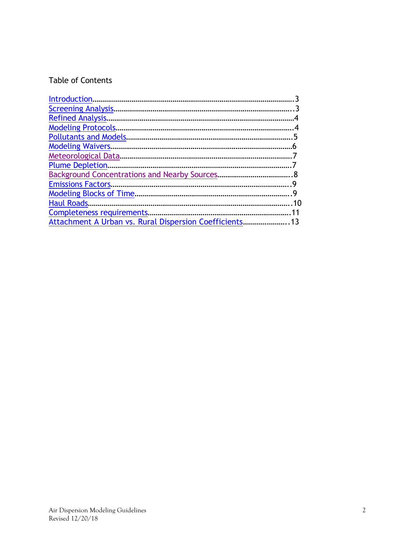# Table of Contents

| <b>Modeling Protocols.</b>                           |       |
|------------------------------------------------------|-------|
|                                                      | 5     |
|                                                      | .6    |
|                                                      |       |
|                                                      |       |
|                                                      |       |
|                                                      |       |
|                                                      |       |
| Haul Roads                                           | $-10$ |
| Completeness requirements                            | -11   |
| Attachment A Urban vs. Rural Dispersion Coefficients |       |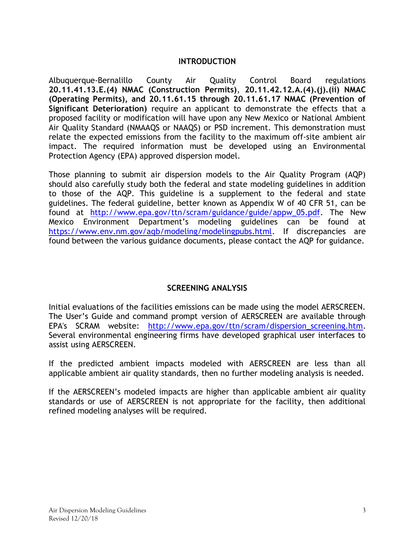#### INTRODUCTION

Albuquerque-Bernalillo County Air Quality Control Board regulations 20.11.41.13.E.(4) NMAC (Construction Permits), 20.11.42.12.A.(4).(j).(ii) NMAC (Operating Permits), and 20.11.61.15 through 20.11.61.17 NMAC (Prevention of Significant Deterioration) require an applicant to demonstrate the effects that a proposed facility or modification will have upon any New Mexico or National Ambient Air Quality Standard (NMAAQS or NAAQS) or PSD increment. This demonstration must relate the expected emissions from the facility to the maximum off-site ambient air impact. The required information must be developed using an Environmental Protection Agency (EPA) approved dispersion model.

Those planning to submit air dispersion models to the Air Quality Program (AQP) should also carefully study both the federal and state modeling guidelines in addition to those of the AQP. This guideline is a supplement to the federal and state guidelines. The federal guideline, better known as Appendix W of 40 CFR 51, can be found at http://www.epa.gov/ttn/scram/guidance/guide/appw\_05.pdf. The New Mexico Environment Department's modeling guidelines can be found at https://www.env.nm.gov/aqb/modeling/modelingpubs.html. If discrepancies are found between the various guidance documents, please contact the AQP for guidance.

#### SCREENING ANALYSIS

Initial evaluations of the facilities emissions can be made using the model AERSCREEN. The User's Guide and command prompt version of AERSCREEN are available through EPA's SCRAM website: http://www.epa.gov/ttn/scram/dispersion\_screening.htm. Several environmental engineering firms have developed graphical user interfaces to assist using AERSCREEN.

If the predicted ambient impacts modeled with AERSCREEN are less than all applicable ambient air quality standards, then no further modeling analysis is needed.

If the AERSCREEN's modeled impacts are higher than applicable ambient air quality standards or use of AERSCREEN is not appropriate for the facility, then additional refined modeling analyses will be required.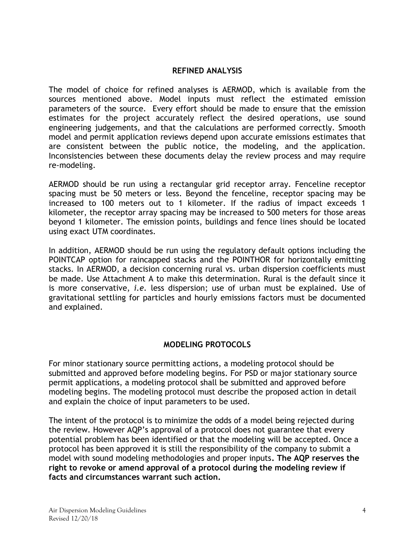#### REFINED ANALYSIS

The model of choice for refined analyses is AERMOD, which is available from the sources mentioned above. Model inputs must reflect the estimated emission parameters of the source. Every effort should be made to ensure that the emission estimates for the project accurately reflect the desired operations, use sound engineering judgements, and that the calculations are performed correctly. Smooth model and permit application reviews depend upon accurate emissions estimates that are consistent between the public notice, the modeling, and the application. Inconsistencies between these documents delay the review process and may require re-modeling.

AERMOD should be run using a rectangular grid receptor array. Fenceline receptor spacing must be 50 meters or less. Beyond the fenceline, receptor spacing may be increased to 100 meters out to 1 kilometer. If the radius of impact exceeds 1 kilometer, the receptor array spacing may be increased to 500 meters for those areas beyond 1 kilometer. The emission points, buildings and fence lines should be located using exact UTM coordinates.

In addition, AERMOD should be run using the regulatory default options including the POINTCAP option for raincapped stacks and the POINTHOR for horizontally emitting stacks. In AERMOD, a decision concerning rural vs. urban dispersion coefficients must be made. Use Attachment A to make this determination. Rural is the default since it is more conservative, i.e. less dispersion; use of urban must be explained. Use of gravitational settling for particles and hourly emissions factors must be documented and explained.

#### MODELING PROTOCOLS

For minor stationary source permitting actions, a modeling protocol should be submitted and approved before modeling begins. For PSD or major stationary source permit applications, a modeling protocol shall be submitted and approved before modeling begins. The modeling protocol must describe the proposed action in detail and explain the choice of input parameters to be used.

The intent of the protocol is to minimize the odds of a model being rejected during the review. However AQP's approval of a protocol does not guarantee that every potential problem has been identified or that the modeling will be accepted. Once a protocol has been approved it is still the responsibility of the company to submit a model with sound modeling methodologies and proper inputs. The AQP reserves the right to revoke or amend approval of a protocol during the modeling review if facts and circumstances warrant such action.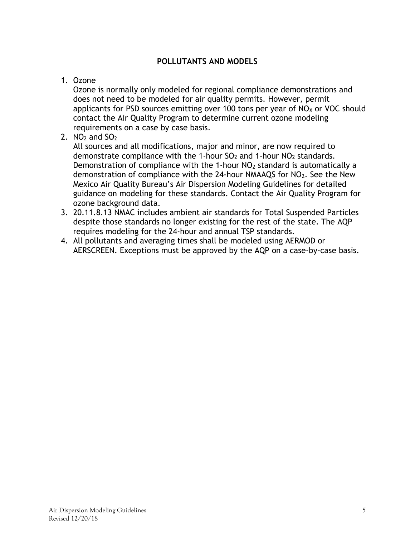#### POLLUTANTS AND MODELS

#### 1. Ozone

Ozone is normally only modeled for regional compliance demonstrations and does not need to be modeled for air quality permits. However, permit applicants for PSD sources emitting over 100 tons per year of  $NO<sub>X</sub>$  or VOC should contact the Air Quality Program to determine current ozone modeling requirements on a case by case basis.

## 2.  $NO<sub>2</sub>$  and  $SO<sub>2</sub>$

All sources and all modifications, major and minor, are now required to demonstrate compliance with the 1-hour  $SO<sub>2</sub>$  and 1-hour  $NO<sub>2</sub>$  standards. Demonstration of compliance with the 1-hour  $NO<sub>2</sub>$  standard is automatically a demonstration of compliance with the 24-hour NMAAQS for  $NO<sub>2</sub>$ . See the New Mexico Air Quality Bureau's Air Dispersion Modeling Guidelines for detailed guidance on modeling for these standards. Contact the Air Quality Program for ozone background data.

- 3. 20.11.8.13 NMAC includes ambient air standards for Total Suspended Particles despite those standards no longer existing for the rest of the state. The AQP requires modeling for the 24-hour and annual TSP standards.
- 4. All pollutants and averaging times shall be modeled using AERMOD or AERSCREEN. Exceptions must be approved by the AQP on a case-by-case basis.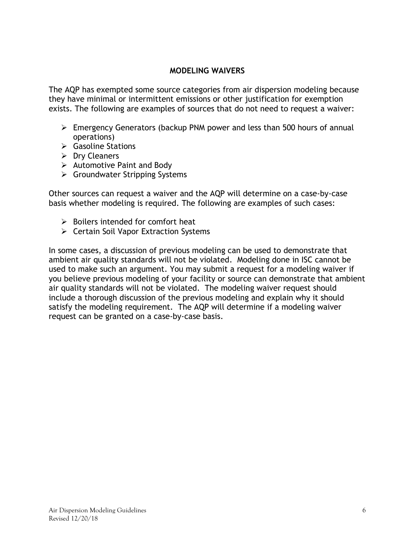#### MODELING WAIVERS

The AQP has exempted some source categories from air dispersion modeling because they have minimal or intermittent emissions or other justification for exemption exists. The following are examples of sources that do not need to request a waiver:

- Emergency Generators (backup PNM power and less than 500 hours of annual operations)
- $\triangleright$  Gasoline Stations
- $\triangleright$  Dry Cleaners
- $\triangleright$  Automotive Paint and Body
- $\triangleright$  Groundwater Stripping Systems

Other sources can request a waiver and the AQP will determine on a case-by-case basis whether modeling is required. The following are examples of such cases:

- $\triangleright$  Boilers intended for comfort heat
- $\triangleright$  Certain Soil Vapor Extraction Systems

In some cases, a discussion of previous modeling can be used to demonstrate that ambient air quality standards will not be violated. Modeling done in ISC cannot be used to make such an argument. You may submit a request for a modeling waiver if you believe previous modeling of your facility or source can demonstrate that ambient air quality standards will not be violated. The modeling waiver request should include a thorough discussion of the previous modeling and explain why it should satisfy the modeling requirement. The AQP will determine if a modeling waiver request can be granted on a case-by-case basis.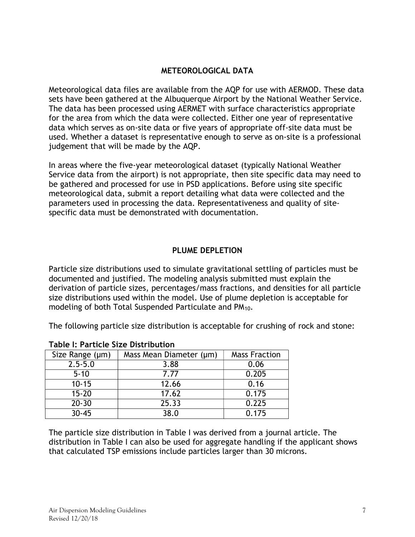#### METEOROLOGICAL DATA

Meteorological data files are available from the AQP for use with AERMOD. These data sets have been gathered at the Albuquerque Airport by the National Weather Service. The data has been processed using AERMET with surface characteristics appropriate for the area from which the data were collected. Either one year of representative data which serves as on-site data or five years of appropriate off-site data must be used. Whether a dataset is representative enough to serve as on-site is a professional judgement that will be made by the AQP.

In areas where the five-year meteorological dataset (typically National Weather Service data from the airport) is not appropriate, then site specific data may need to be gathered and processed for use in PSD applications. Before using site specific meteorological data, submit a report detailing what data were collected and the parameters used in processing the data. Representativeness and quality of sitespecific data must be demonstrated with documentation.

#### PLUME DEPLETION

Particle size distributions used to simulate gravitational settling of particles must be documented and justified. The modeling analysis submitted must explain the derivation of particle sizes, percentages/mass fractions, and densities for all particle size distributions used within the model. Use of plume depletion is acceptable for modeling of both Total Suspended Particulate and PM10.

The following particle size distribution is acceptable for crushing of rock and stone:

| Size Range (µm) | Mass Mean Diameter (µm) | <b>Mass Fraction</b> |
|-----------------|-------------------------|----------------------|
| $2.5 - 5.0$     | 3.88                    | 0.06                 |
| $5 - 10$        | 7.77                    | 0.205                |
| $10 - 15$       | 12.66                   | 0.16                 |
| $15 - 20$       | 17.62                   | 0.175                |
| $20 - 30$       | 25.33                   | 0.225                |
| $30 - 45$       | 38.0                    | 0.175                |

#### Table I: Particle Size Distribution

The particle size distribution in Table I was derived from a journal article. The distribution in Table I can also be used for aggregate handling if the applicant shows that calculated TSP emissions include particles larger than 30 microns.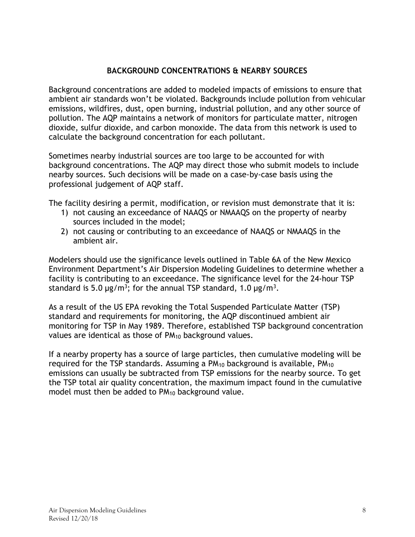## BACKGROUND CONCENTRATIONS & NEARBY SOURCES

Background concentrations are added to modeled impacts of emissions to ensure that ambient air standards won't be violated. Backgrounds include pollution from vehicular emissions, wildfires, dust, open burning, industrial pollution, and any other source of pollution. The AQP maintains a network of monitors for particulate matter, nitrogen dioxide, sulfur dioxide, and carbon monoxide. The data from this network is used to calculate the background concentration for each pollutant.

Sometimes nearby industrial sources are too large to be accounted for with background concentrations. The AQP may direct those who submit models to include nearby sources. Such decisions will be made on a case-by-case basis using the professional judgement of AQP staff.

The facility desiring a permit, modification, or revision must demonstrate that it is:

- 1) not causing an exceedance of NAAQS or NMAAQS on the property of nearby sources included in the model;
- 2) not causing or contributing to an exceedance of NAAQS or NMAAQS in the ambient air.

Modelers should use the significance levels outlined in Table 6A of the New Mexico Environment Department's Air Dispersion Modeling Guidelines to determine whether a facility is contributing to an exceedance. The significance level for the 24-hour TSP standard is 5.0  $\mu$ g/m<sup>3</sup>; for the annual TSP standard, 1.0  $\mu$ g/m<sup>3</sup>.

As a result of the US EPA revoking the Total Suspended Particulate Matter (TSP) standard and requirements for monitoring, the AQP discontinued ambient air monitoring for TSP in May 1989. Therefore, established TSP background concentration values are identical as those of PM<sub>10</sub> background values.

If a nearby property has a source of large particles, then cumulative modeling will be required for the TSP standards. Assuming a  $PM_{10}$  background is available,  $PM_{10}$ emissions can usually be subtracted from TSP emissions for the nearby source. To get the TSP total air quality concentration, the maximum impact found in the cumulative model must then be added to PM<sub>10</sub> background value.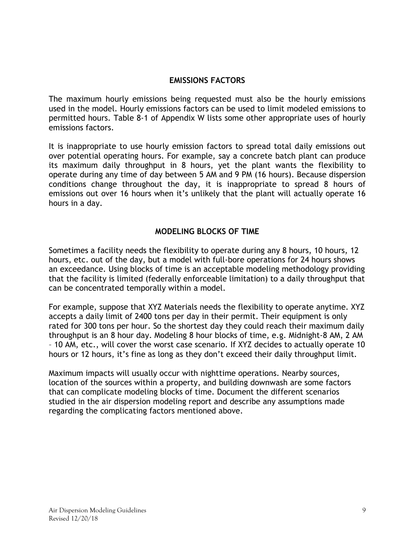#### EMISSIONS FACTORS

The maximum hourly emissions being requested must also be the hourly emissions used in the model. Hourly emissions factors can be used to limit modeled emissions to permitted hours. Table 8-1 of Appendix W lists some other appropriate uses of hourly emissions factors.

It is inappropriate to use hourly emission factors to spread total daily emissions out over potential operating hours. For example, say a concrete batch plant can produce its maximum daily throughput in 8 hours, yet the plant wants the flexibility to operate during any time of day between 5 AM and 9 PM (16 hours). Because dispersion conditions change throughout the day, it is inappropriate to spread 8 hours of emissions out over 16 hours when it's unlikely that the plant will actually operate 16 hours in a day.

#### MODELING BLOCKS OF TIME

Sometimes a facility needs the flexibility to operate during any 8 hours, 10 hours, 12 hours, etc. out of the day, but a model with full-bore operations for 24 hours shows an exceedance. Using blocks of time is an acceptable modeling methodology providing that the facility is limited (federally enforceable limitation) to a daily throughput that can be concentrated temporally within a model.

For example, suppose that XYZ Materials needs the flexibility to operate anytime. XYZ accepts a daily limit of 2400 tons per day in their permit. Their equipment is only rated for 300 tons per hour. So the shortest day they could reach their maximum daily throughput is an 8 hour day. Modeling 8 hour blocks of time, e.g. Midnight-8 AM, 2 AM – 10 AM, etc., will cover the worst case scenario. If XYZ decides to actually operate 10 hours or 12 hours, it's fine as long as they don't exceed their daily throughput limit.

Maximum impacts will usually occur with nighttime operations. Nearby sources, location of the sources within a property, and building downwash are some factors that can complicate modeling blocks of time. Document the different scenarios studied in the air dispersion modeling report and describe any assumptions made regarding the complicating factors mentioned above.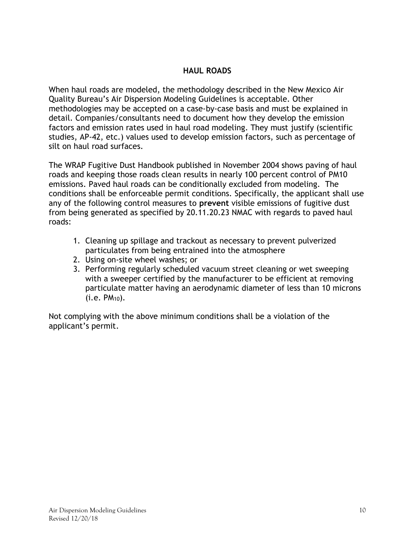#### HAUL ROADS

When haul roads are modeled, the methodology described in the New Mexico Air Quality Bureau's Air Dispersion Modeling Guidelines is acceptable. Other methodologies may be accepted on a case-by-case basis and must be explained in detail. Companies/consultants need to document how they develop the emission factors and emission rates used in haul road modeling. They must justify (scientific studies, AP-42, etc.) values used to develop emission factors, such as percentage of silt on haul road surfaces.

The WRAP Fugitive Dust Handbook published in November 2004 shows paving of haul roads and keeping those roads clean results in nearly 100 percent control of PM10 emissions. Paved haul roads can be conditionally excluded from modeling. The conditions shall be enforceable permit conditions. Specifically, the applicant shall use any of the following control measures to prevent visible emissions of fugitive dust from being generated as specified by 20.11.20.23 NMAC with regards to paved haul roads:

- 1. Cleaning up spillage and trackout as necessary to prevent pulverized particulates from being entrained into the atmosphere
- 2. Using on-site wheel washes; or
- 3. Performing regularly scheduled vacuum street cleaning or wet sweeping with a sweeper certified by the manufacturer to be efficient at removing particulate matter having an aerodynamic diameter of less than 10 microns  $(i.e. PM_{10}).$

Not complying with the above minimum conditions shall be a violation of the applicant's permit.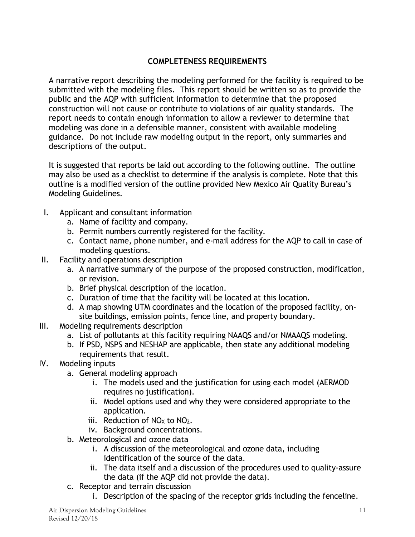# COMPLETENESS REQUIREMENTS

A narrative report describing the modeling performed for the facility is required to be submitted with the modeling files. This report should be written so as to provide the public and the AQP with sufficient information to determine that the proposed construction will not cause or contribute to violations of air quality standards. The report needs to contain enough information to allow a reviewer to determine that modeling was done in a defensible manner, consistent with available modeling guidance. Do not include raw modeling output in the report, only summaries and descriptions of the output.

It is suggested that reports be laid out according to the following outline. The outline may also be used as a checklist to determine if the analysis is complete. Note that this outline is a modified version of the outline provided New Mexico Air Quality Bureau's Modeling Guidelines.

- I. Applicant and consultant information
	- a. Name of facility and company.
	- b. Permit numbers currently registered for the facility.
	- c. Contact name, phone number, and e-mail address for the AQP to call in case of modeling questions.
- II. Facility and operations description
	- a. A narrative summary of the purpose of the proposed construction, modification, or revision.
	- b. Brief physical description of the location.
	- c. Duration of time that the facility will be located at this location.
	- d. A map showing UTM coordinates and the location of the proposed facility, onsite buildings, emission points, fence line, and property boundary.
- III. Modeling requirements description
	- a. List of pollutants at this facility requiring NAAQS and/or NMAAQS modeling.
	- b. If PSD, NSPS and NESHAP are applicable, then state any additional modeling requirements that result.
- IV. Modeling inputs
	- a. General modeling approach
		- i. The models used and the justification for using each model (AERMOD requires no justification).
		- ii. Model options used and why they were considered appropriate to the application.
		- iii. Reduction of  $NO<sub>X</sub>$  to  $NO<sub>2</sub>$ .
		- iv. Background concentrations.
	- b. Meteorological and ozone data
		- i. A discussion of the meteorological and ozone data, including identification of the source of the data.
		- ii. The data itself and a discussion of the procedures used to quality-assure the data (if the AQP did not provide the data).
	- c. Receptor and terrain discussion
		- i. Description of the spacing of the receptor grids including the fenceline.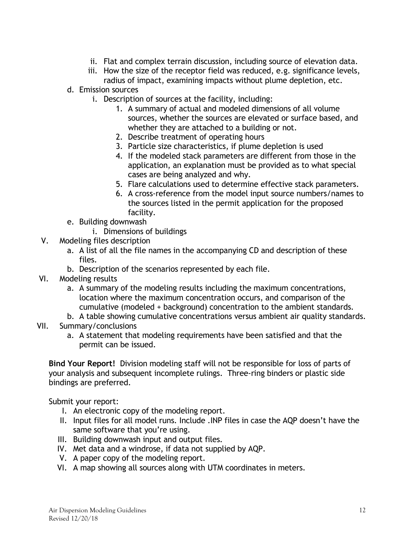- ii. Flat and complex terrain discussion, including source of elevation data.
- iii. How the size of the receptor field was reduced, e.g. significance levels, radius of impact, examining impacts without plume depletion, etc.
- d. Emission sources
	- i. Description of sources at the facility, including:
		- 1. A summary of actual and modeled dimensions of all volume sources, whether the sources are elevated or surface based, and whether they are attached to a building or not.
		- 2. Describe treatment of operating hours
		- 3. Particle size characteristics, if plume depletion is used
		- 4. If the modeled stack parameters are different from those in the application, an explanation must be provided as to what special cases are being analyzed and why.
		- 5. Flare calculations used to determine effective stack parameters.
		- 6. A cross-reference from the model input source numbers/names to the sources listed in the permit application for the proposed facility.
- e. Building downwash
	- i. Dimensions of buildings
- V. Modeling files description
	- a. A list of all the file names in the accompanying CD and description of these files.
	- b. Description of the scenarios represented by each file.
- VI. Modeling results
	- a. A summary of the modeling results including the maximum concentrations, location where the maximum concentration occurs, and comparison of the cumulative (modeled + background) concentration to the ambient standards.
	- b. A table showing cumulative concentrations versus ambient air quality standards.
- VII. Summary/conclusions
	- a. A statement that modeling requirements have been satisfied and that the permit can be issued.

Bind Your Report! Division modeling staff will not be responsible for loss of parts of your analysis and subsequent incomplete rulings. Three-ring binders or plastic side bindings are preferred.

Submit your report:

- I. An electronic copy of the modeling report.
- II. Input files for all model runs. Include .INP files in case the AQP doesn't have the same software that you're using.
- III. Building downwash input and output files.
- IV. Met data and a windrose, if data not supplied by AQP.
- V. A paper copy of the modeling report.
- VI. A map showing all sources along with UTM coordinates in meters.